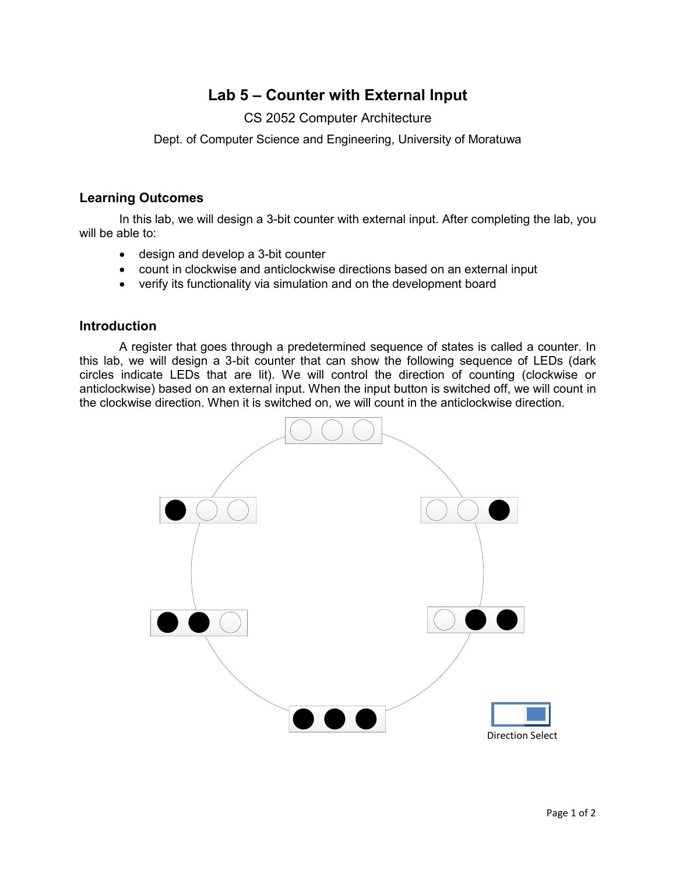# **Lab 5 – Counter with External Input**

## CS 2052 Computer Architecture

Dept. of Computer Science and Engineering, University of Moratuwa

#### **Learning Outcomes**

In this lab, we will design a 3-bit counter with external input. After completing the lab, you will be able to:

- design and develop a 3-bit counter
- count in clockwise and anticlockwise directions based on an external input
- verify its functionality via simulation and on the development board

#### **Introduction**

A register that goes through a predetermined sequence of states is called a counter. In this lab, we will design a 3-bit counter that can show the following sequence of LEDs (dark circles indicate LEDs that are lit). We will control the direction of counting (clockwise or anticlockwise) based on an external input. When the input button is switched off, we will count in the clockwise direction. When it is switched on, we will count in the anticlockwise direction.